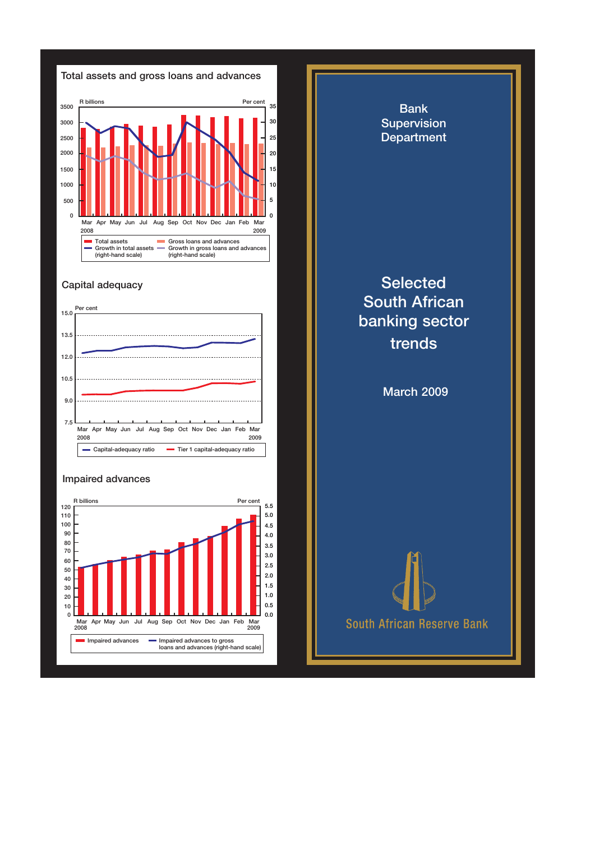

## Capital adequacy



## Impaired advances